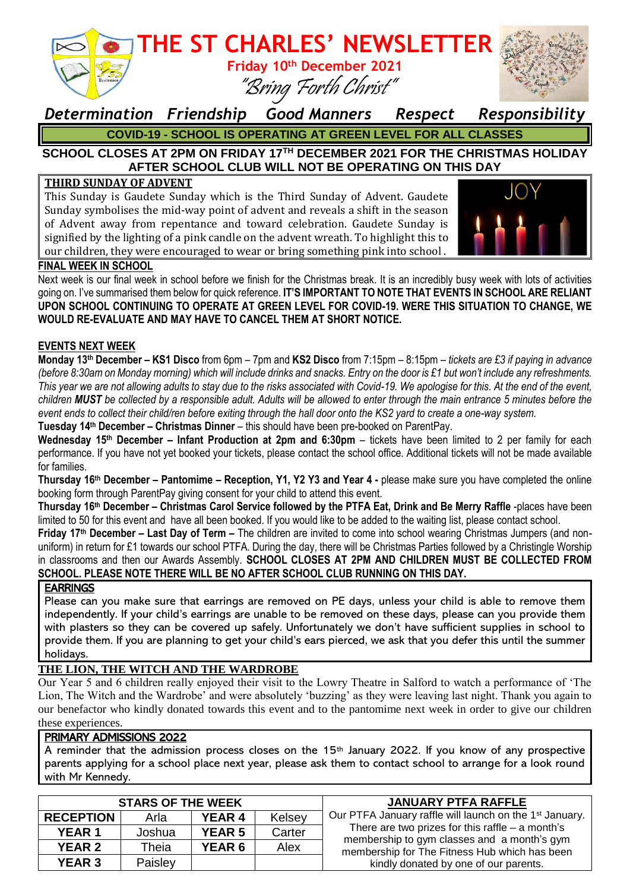

*Determination Friendship Good Manners Respect Responsibility* **COVID-19 - SCHOOL IS OPERATING AT GREEN LEVEL FOR ALL CLASSES**

### **SCHOOL CLOSES AT 2PM ON FRIDAY 17TH DECEMBER 2021 FOR THE CHRISTMAS HOLIDAY AFTER SCHOOL CLUB WILL NOT BE OPERATING ON THIS DAY**

#### **THIRD SUNDAY OF ADVENT**

This Sunday is Gaudete Sunday which is the Third Sunday of Advent. Gaudete Sunday symbolises the mid-way point of advent and reveals a shift in the season of Advent away from repentance and toward celebration. Gaudete Sunday is signified by the lighting of a pink candle on the advent wreath. To highlight this to our children, they were encouraged to wear or bring something pink into school .



#### **FINAL WEEK IN SCHOOL**

Next week is our final week in school before we finish for the Christmas break. It is an incredibly busy week with lots of activities going on. I've summarised them below for quick reference. **IT'S IMPORTANT TO NOTE THAT EVENTS IN SCHOOL ARE RELIANT UPON SCHOOL CONTINUING TO OPERATE AT GREEN LEVEL FOR COVID-19. WERE THIS SITUATION TO CHANGE, WE WOULD RE-EVALUATE AND MAY HAVE TO CANCEL THEM AT SHORT NOTICE.**

#### **EVENTS NEXT WEEK**

**Monday 13th December – KS1 Disco** from 6pm – 7pm and **KS2 Disco** from 7:15pm – 8:15pm *– tickets are £3 if paying in advance (before 8:30am on Monday morning) which will include drinks and snacks. Entry on the door is £1 but won't include any refreshments. This year we are not allowing adults to stay due to the risks associated with Covid-19. We apologise for this. At the end of the event, children MUST be collected by a responsible adult. Adults will be allowed to enter through the main entrance 5 minutes before the event ends to collect their child/ren before exiting through the hall door onto the KS2 yard to create a one-way system.*

**Tuesday 14th December – Christmas Dinner** – this should have been pre-booked on ParentPay.

**Wednesday 15th December – Infant Production at 2pm and 6:30pm** – tickets have been limited to 2 per family for each performance. If you have not yet booked your tickets, please contact the school office. Additional tickets will not be made available for families.

**Thursday 16th December – Pantomime – Reception, Y1, Y2 Y3 and Year 4 -** please make sure you have completed the online booking form through ParentPay giving consent for your child to attend this event.

**Thursday 16th December – Christmas Carol Service followed by the PTFA Eat, Drink and Be Merry Raffle** -places have been limited to 50 for this event and have all been booked. If you would like to be added to the waiting list, please contact school.

**Friday 17th December – Last Day of Term –** The children are invited to come into school wearing Christmas Jumpers (and nonuniform) in return for £1 towards our school PTFA. During the day, there will be Christmas Parties followed by a Christingle Worship in classrooms and then our Awards Assembly. **SCHOOL CLOSES AT 2PM AND CHILDREN MUST BE COLLECTED FROM SCHOOL. PLEASE NOTE THERE WILL BE NO AFTER SCHOOL CLUB RUNNING ON THIS DAY.**

#### **EARRINGS**

Please can you make sure that earrings are removed on PE days, unless your child is able to remove them independently. If your child's earrings are unable to be removed on these days, please can you provide them with plasters so they can be covered up safely. Unfortunately we don't have sufficient supplies in school to provide them. If you are planning to get your child's ears pierced, we ask that you defer this until the summer holidays.

#### **THE LION, THE WITCH AND THE WARDROBE**

Our Year 5 and 6 children really enjoyed their visit to the Lowry Theatre in Salford to watch a performance of 'The Lion, The Witch and the Wardrobe' and were absolutely 'buzzing' as they were leaving last night. Thank you again to our benefactor who kindly donated towards this event and to the pantomime next week in order to give our children these experiences.

#### PRIMARY ADMISSIONS 2022

A reminder that the admission process closes on the 15<sup>th</sup> January 2022. If you know of any prospective parents applying for a school place next year, please ask them to contact school to arrange for a look round with Mr Kennedy.

| <b>STARS OF THE WEEK</b> |         |               |        | <b>JANUARY PTFA RAFFLE</b>                                                                                                                                                                                                                                         |
|--------------------------|---------|---------------|--------|--------------------------------------------------------------------------------------------------------------------------------------------------------------------------------------------------------------------------------------------------------------------|
| <b>RECEPTION</b>         | Arla    | <b>YEAR 4</b> | Kelsey | Our PTFA January raffle will launch on the 1 <sup>st</sup> January.<br>There are two prizes for this raffle $-$ a month's<br>membership to gym classes and a month's gym<br>membership for The Fitness Hub which has been<br>kindly donated by one of our parents. |
| <b>YEAR 1</b>            | Joshua  | <b>YEAR 5</b> | Carter |                                                                                                                                                                                                                                                                    |
| <b>YEAR 2</b>            | Theia   | <b>YEAR 6</b> | Alex   |                                                                                                                                                                                                                                                                    |
| <b>YEAR 3</b>            | Paisley |               |        |                                                                                                                                                                                                                                                                    |